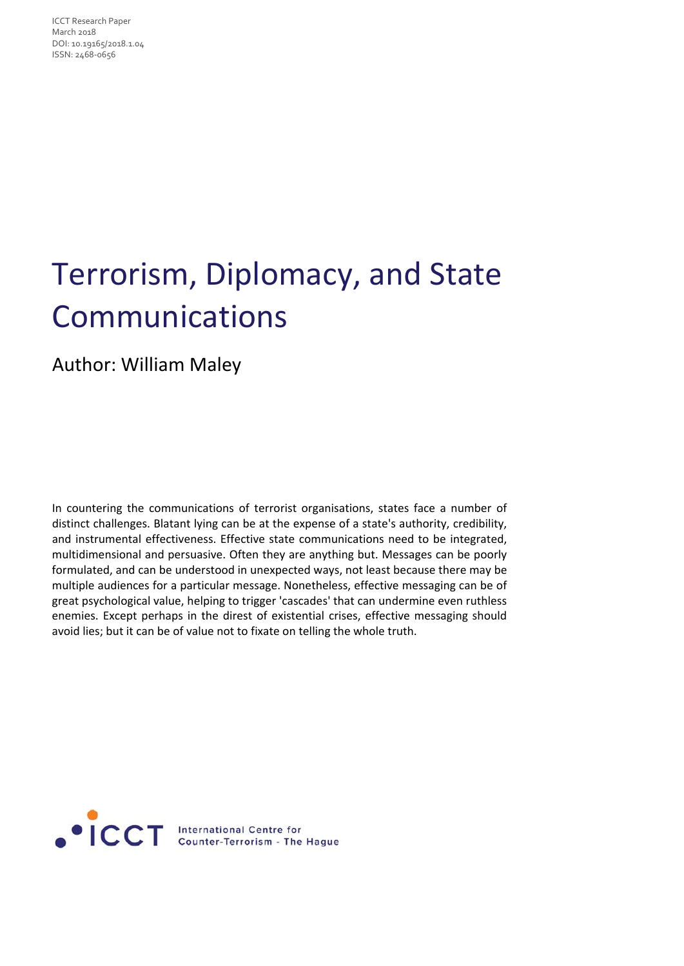ICCT Research Paper March 2018 DOI: 10.19165/2018.1.04 ISSN: 2468‐0656

# Terrorism, Diplomacy, and State Communications

#### Author: William Maley

In countering the communications of terrorist organisations, states face a number of distinct challenges. Blatant lying can be at the expense of a state's authority, credibility, and instrumental effectiveness. Effective state communications need to be integrated, multidimensional and persuasive. Often they are anything but. Messages can be poorly formulated, and can be understood in unexpected ways, not least because there may be multiple audiences for a particular message. Nonetheless, effective messaging can be of great psychological value, helping to trigger 'cascades' that can undermine even ruthless enemies. Except perhaps in the direst of existential crises, effective messaging should avoid lies; but it can be of value not to fixate on telling the whole truth.

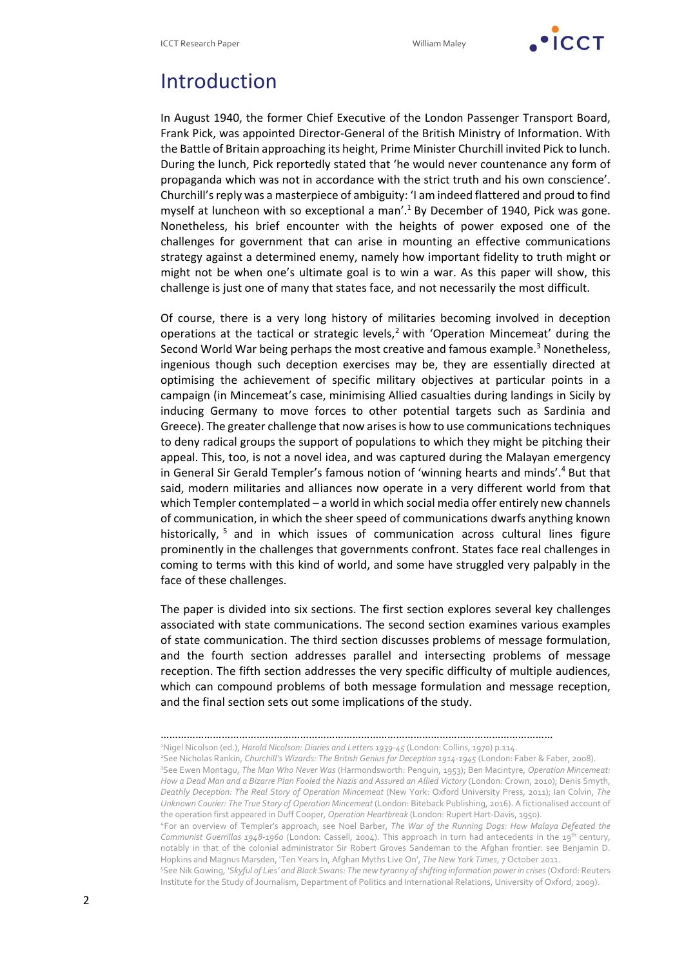

### Introduction

In August 1940, the former Chief Executive of the London Passenger Transport Board, Frank Pick, was appointed Director‐General of the British Ministry of Information. With the Battle of Britain approaching its height, Prime Minister Churchill invited Pick to lunch. During the lunch, Pick reportedly stated that 'he would never countenance any form of propaganda which was not in accordance with the strict truth and his own conscience'. Churchill'sreply was a masterpiece of ambiguity: 'I am indeed flattered and proud to find myself at luncheon with so exceptional a man'.1 By December of 1940, Pick was gone. Nonetheless, his brief encounter with the heights of power exposed one of the challenges for government that can arise in mounting an effective communications strategy against a determined enemy, namely how important fidelity to truth might or might not be when one's ultimate goal is to win a war. As this paper will show, this challenge is just one of many that states face, and not necessarily the most difficult.

Of course, there is a very long history of militaries becoming involved in deception operations at the tactical or strategic levels, $<sup>2</sup>$  with 'Operation Mincemeat' during the</sup> Second World War being perhaps the most creative and famous example.<sup>3</sup> Nonetheless, ingenious though such deception exercises may be, they are essentially directed at optimising the achievement of specific military objectives at particular points in a campaign (in Mincemeat's case, minimising Allied casualties during landings in Sicily by inducing Germany to move forces to other potential targets such as Sardinia and Greece). The greater challenge that now arisesis how to use communicationstechniques to deny radical groups the support of populations to which they might be pitching their appeal. This, too, is not a novel idea, and was captured during the Malayan emergency in General Sir Gerald Templer's famous notion of 'winning hearts and minds'.4 But that said, modern militaries and alliances now operate in a very different world from that which Templer contemplated – a world in which social media offer entirely new channels of communication, in which the sheer speed of communications dwarfs anything known historically, <sup>5</sup> and in which issues of communication across cultural lines figure prominently in the challenges that governments confront. States face real challenges in coming to terms with this kind of world, and some have struggled very palpably in the face of these challenges.

The paper is divided into six sections. The first section explores several key challenges associated with state communications. The second section examines various examples of state communication. The third section discusses problems of message formulation, and the fourth section addresses parallel and intersecting problems of message reception. The fifth section addresses the very specific difficulty of multiple audiences, which can compound problems of both message formulation and message reception, and the final section sets out some implications of the study.

4For an overview of Templer's approach, see Noel Barber, *The War of the Running Dogs: How Malaya Defeated the Communist Guerrillas 1948‐1960* (London: Cassell, 2004). This approach in turn had antecedents in the 19th century, notably in that of the colonial administrator Sir Robert Groves Sandeman to the Afghan frontier: see Benjamin D. Hopkins and Magnus Marsden, 'Ten Years In, Afghan Myths Live On', *The New York Times*, 7 October 2011.

5 SeeNik Gowing, *'Skyful of Lies' and Black Swans: The new tyranny ofshifting information power in crises*(Oxford: Reuters Institute for the Study of Journalism, Department of Politics and International Relations, University of Oxford, 2009).

<sup>………………………………………………………………………………………………………………………</sup>

<sup>1</sup> Nigel Nicolson (ed.), *Harold Nicolson: Diaries and Letters 1939‐45* (London: Collins, 1970) p.114.

<sup>2</sup> See Nicholas Rankin, *Churchill's Wizards: The British Genius for Deception 1914‐1945* (London: Faber & Faber, 2008). 3 See Ewen Montagu, *The Man Who Never Was* (Harmondsworth: Penguin, 1953); Ben Macintyre, *Operation Mincemeat:* How a Dead Man and a Bizarre Plan Fooled the Nazis and Assured an Allied Victory (London: Crown, 2010); Denis Smyth, *Deathly Deception: The Real Story of Operation Mincemeat* (New York: Oxford University Press, 2011); Ian Colvin, *The Unknown Courier: The True Story of Operation Mincemeat* (London: Biteback Publishing, 2016). A fictionalised account of the operation first appeared in Duff Cooper, *Operation Heartbreak* (London: Rupert Hart‐Davis, 1950).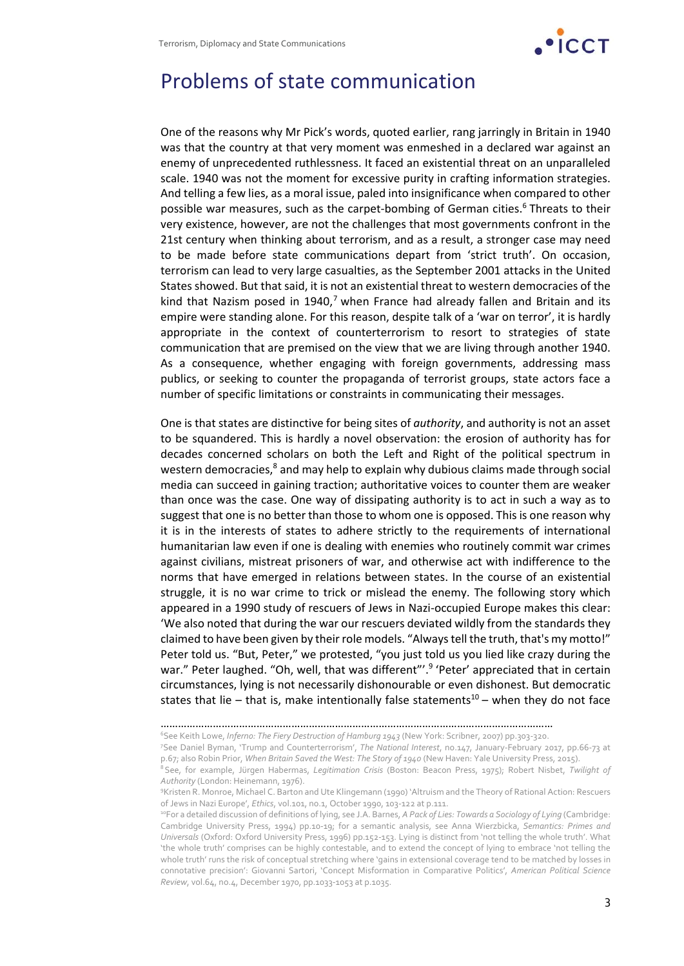

### Problems of state communication

One of the reasons why Mr Pick's words, quoted earlier, rang jarringly in Britain in 1940 was that the country at that very moment was enmeshed in a declared war against an enemy of unprecedented ruthlessness. It faced an existential threat on an unparalleled scale. 1940 was not the moment for excessive purity in crafting information strategies. And telling a few lies, as a moral issue, paled into insignificance when compared to other possible war measures, such as the carpet-bombing of German cities.<sup>6</sup> Threats to their very existence, however, are not the challenges that most governments confront in the 21st century when thinking about terrorism, and as a result, a stronger case may need to be made before state communications depart from 'strict truth'. On occasion, terrorism can lead to very large casualties, as the September 2001 attacks in the United States showed. But that said, it is not an existential threat to western democracies of the kind that Nazism posed in 1940,<sup>7</sup> when France had already fallen and Britain and its empire were standing alone. For this reason, despite talk of a 'war on terror', it is hardly appropriate in the context of counterterrorism to resort to strategies of state communication that are premised on the view that we are living through another 1940. As a consequence, whether engaging with foreign governments, addressing mass publics, or seeking to counter the propaganda of terrorist groups, state actors face a number of specific limitations or constraints in communicating their messages.

One is that states are distinctive for being sites of *authority*, and authority is not an asset to be squandered. This is hardly a novel observation: the erosion of authority has for decades concerned scholars on both the Left and Right of the political spectrum in western democracies,<sup>8</sup> and may help to explain why dubious claims made through social media can succeed in gaining traction; authoritative voices to counter them are weaker than once was the case. One way of dissipating authority is to act in such a way as to suggest that one is no better than those to whom one is opposed. This is one reason why it is in the interests of states to adhere strictly to the requirements of international humanitarian law even if one is dealing with enemies who routinely commit war crimes against civilians, mistreat prisoners of war, and otherwise act with indifference to the norms that have emerged in relations between states. In the course of an existential struggle, it is no war crime to trick or mislead the enemy. The following story which appeared in a 1990 study of rescuers of Jews in Nazi‐occupied Europe makes this clear: 'We also noted that during the war our rescuers deviated wildly from the standards they claimed to have been given by their role models. "Alwaystell the truth, that's my motto!" Peter told us. "But, Peter," we protested, "you just told us you lied like crazy during the war." Peter laughed. "Oh, well, that was different".<sup>9</sup> 'Peter' appreciated that in certain circumstances, lying is not necessarily dishonourable or even dishonest. But democratic states that lie – that is, make intentionally false statements<sup>10</sup> – when they do not face

<sup>………………………………………………………………………………………………………………………</sup>

<sup>6</sup> See Keith Lowe, *Inferno: The Fiery Destruction of Hamburg 1943* (New York: Scribner, 2007) pp.303‐320.

<sup>7</sup> See Daniel Byman, 'Trump and Counterterrorism', *The National Interest*, no.147, January‐February 2017, pp.66‐73 at p.67; also Robin Prior, *When Britain Saved the West: The Story of 1940* (New Haven: Yale University Press, 2015).

<sup>8</sup>See, for example, Jürgen Habermas, *Legitimation Crisis* (Boston: Beacon Press, 1975); Robert Nisbet, *Twilight of Authority* (London: Heinemann, 1976).

<sup>9</sup> Kristen R. Monroe, Michael C. Barton and Ute Klingemann (1990) 'Altruism and the Theory of Rational Action: Rescuers of Jews in Nazi Europe', *Ethics*, vol.101, no.1, October 1990, 103‐122 at p.111.

<sup>10</sup>For a detailed discussion of definitions of lying, see J.A. Barnes, *A Pack of Lies: Towards a Sociology of Lying* (Cambridge: Cambridge University Press, 1994) pp.10‐19; for a semantic analysis, see Anna Wierzbicka, *Semantics: Primes and Universals* (Oxford: Oxford University Press, 1996) pp.152‐153. Lying is distinct from 'not telling the whole truth'. What 'the whole truth' comprises can be highly contestable, and to extend the concept of lying to embrace 'not telling the whole truth' runs the risk of conceptual stretching where 'gains in extensional coverage tend to be matched by losses in connotative precision': Giovanni Sartori, 'Concept Misformation in Comparative Politics', *American Political Science Review*, vol.64, no.4, December 1970, pp.1033‐1053 at p.1035.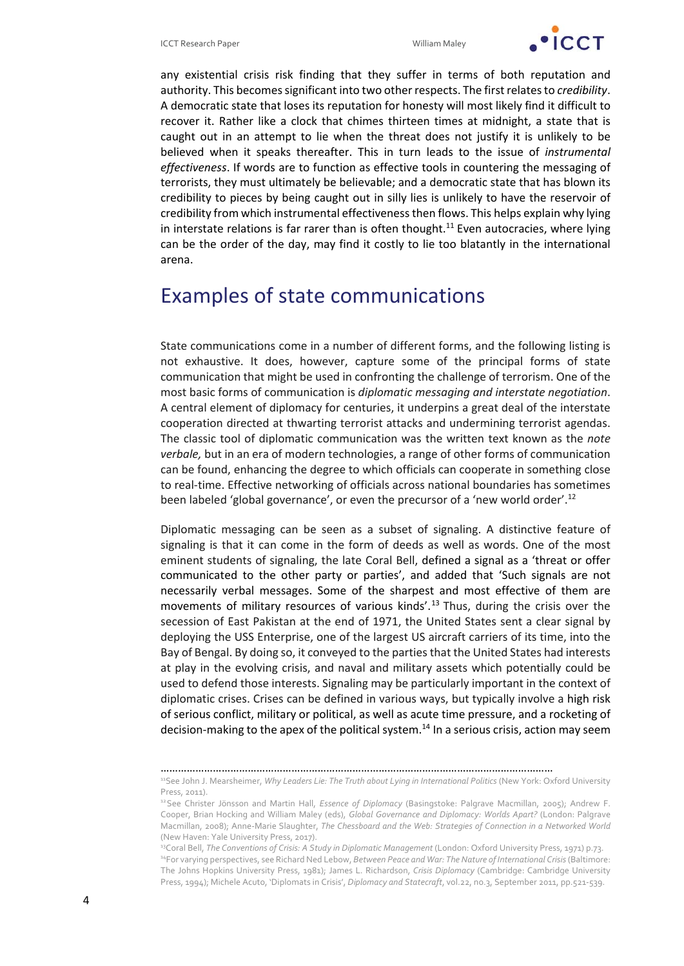

any existential crisis risk finding that they suffer in terms of both reputation and authority. This becomes significant into two other respects. The first relates to *credibility*. A democratic state that loses its reputation for honesty will most likely find it difficult to recover it. Rather like a clock that chimes thirteen times at midnight, a state that is caught out in an attempt to lie when the threat does not justify it is unlikely to be believed when it speaks thereafter. This in turn leads to the issue of *instrumental effectiveness*. If words are to function as effective tools in countering the messaging of terrorists, they must ultimately be believable; and a democratic state that has blown its credibility to pieces by being caught out in silly lies is unlikely to have the reservoir of credibility from which instrumental effectivenessthen flows. This helps explain why lying in interstate relations is far rarer than is often thought.<sup>11</sup> Even autocracies, where lying can be the order of the day, may find it costly to lie too blatantly in the international arena.

### Examples of state communications

State communications come in a number of different forms, and the following listing is not exhaustive. It does, however, capture some of the principal forms of state communication that might be used in confronting the challenge of terrorism. One of the most basic forms of communication is *diplomatic messaging and interstate negotiation*. A central element of diplomacy for centuries, it underpins a great deal of the interstate cooperation directed at thwarting terrorist attacks and undermining terrorist agendas. The classic tool of diplomatic communication was the written text known as the *note verbale,* but in an era of modern technologies, a range of other forms of communication can be found, enhancing the degree to which officials can cooperate in something close to real-time. Effective networking of officials across national boundaries has sometimes been labeled 'global governance', or even the precursor of a 'new world order'.12

Diplomatic messaging can be seen as a subset of signaling. A distinctive feature of signaling is that it can come in the form of deeds as well as words. One of the most eminent students of signaling, the late Coral Bell, defined a signal as a 'threat or offer communicated to the other party or parties', and added that 'Such signals are not necessarily verbal messages. Some of the sharpest and most effective of them are movements of military resources of various kinds'.13 Thus, during the crisis over the secession of East Pakistan at the end of 1971, the United States sent a clear signal by deploying the USS Enterprise, one of the largest US aircraft carriers of its time, into the Bay of Bengal. By doing so, it conveyed to the parties that the United States had interests at play in the evolving crisis, and naval and military assets which potentially could be used to defend those interests. Signaling may be particularly important in the context of diplomatic crises. Crises can be defined in various ways, but typically involve a high risk of serious conflict, military or political, as well as acute time pressure, and a rocketing of decision-making to the apex of the political system.<sup>14</sup> In a serious crisis, action may seem

<sup>………………………………………………………………………………………………………………………</sup>

<sup>11</sup>See John J. Mearsheimer, *Why Leaders Lie: The Truth about Lying in International Politics* (New York: Oxford University Press, 2011).

<sup>12</sup>See Christer Jönsson and Martin Hall, *Essence of Diplomacy* (Basingstoke: Palgrave Macmillan, 2005); Andrew F. Cooper, Brian Hocking and William Maley (eds), *Global Governance and Diplomacy: Worlds Apart?* (London: Palgrave Macmillan, 2008); Anne‐Marie Slaughter, *The Chessboard and the Web: Strategies of Connection in a Networked World* (New Haven: Yale University Press, 2017).

<sup>13</sup>Coral Bell, *The Conventions of Crisis: A Study in Diplomatic Management* (London: Oxford University Press, 1971) p.73. <sup>14</sup>For varying perspectives, see Richard Ned Lebow, Between Peace and War: The Nature of International Crisis (Baltimore: The Johns Hopkins University Press, 1981); James L. Richardson, *Crisis Diplomacy* (Cambridge: Cambridge University Press, 1994); Michele Acuto, 'Diplomats in Crisis', *Diplomacy and Statecraft*, vol.22, no.3, September 2011, pp.521‐539.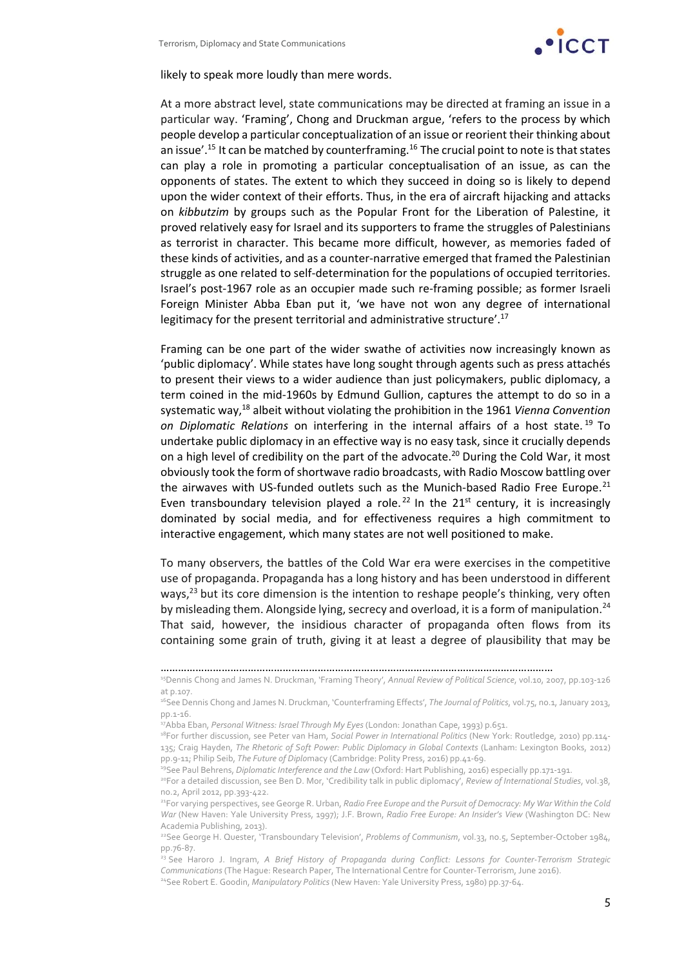

likely to speak more loudly than mere words.

At a more abstract level, state communications may be directed at framing an issue in a particular way. 'Framing', Chong and Druckman argue, 'refers to the process by which people develop a particular conceptualization of an issue or reorient their thinking about an issue'.<sup>15</sup> It can be matched by counterframing.<sup>16</sup> The crucial point to note is that states can play a role in promoting a particular conceptualisation of an issue, as can the opponents of states. The extent to which they succeed in doing so is likely to depend upon the wider context of their efforts. Thus, in the era of aircraft hijacking and attacks on *kibbutzim* by groups such as the Popular Front for the Liberation of Palestine, it proved relatively easy for Israel and its supporters to frame the struggles of Palestinians as terrorist in character. This became more difficult, however, as memories faded of these kinds of activities, and as a counter‐narrative emerged that framed the Palestinian struggle as one related to self‐determination for the populations of occupied territories. Israel's post‐1967 role as an occupier made such re‐framing possible; as former Israeli Foreign Minister Abba Eban put it, 'we have not won any degree of international legitimacy for the present territorial and administrative structure'.17

Framing can be one part of the wider swathe of activities now increasingly known as 'public diplomacy'. While states have long sought through agents such as press attachés to present their views to a wider audience than just policymakers, public diplomacy, a term coined in the mid‐1960s by Edmund Gullion, captures the attempt to do so in a systematic way,18 albeit without violating the prohibition in the 1961 *Vienna Convention on Diplomatic Relations* on interfering in the internal affairs of a host state. <sup>19</sup> To undertake public diplomacy in an effective way is no easy task, since it crucially depends on a high level of credibility on the part of the advocate.<sup>20</sup> During the Cold War, it most obviously took the form of shortwave radio broadcasts, with Radio Moscow battling over the airwaves with US-funded outlets such as the Munich-based Radio Free Europe.<sup>21</sup> Even transboundary television played a role.<sup>22</sup> In the  $21<sup>st</sup>$  century, it is increasingly dominated by social media, and for effectiveness requires a high commitment to interactive engagement, which many states are not well positioned to make.

To many observers, the battles of the Cold War era were exercises in the competitive use of propaganda. Propaganda has a long history and has been understood in different ways, $^{23}$  but its core dimension is the intention to reshape people's thinking, very often by misleading them. Alongside lying, secrecy and overload, it is a form of manipulation.<sup>24</sup> That said, however, the insidious character of propaganda often flows from its containing some grain of truth, giving it at least a degree of plausibility that may be

<sup>………………………………………………………………………………………………………………………</sup>

<sup>15</sup>Dennis Chong and James N. Druckman, 'Framing Theory', *Annual Review of Political Science*, vol.10, 2007, pp.103‐126 at p.107.

<sup>16</sup>See Dennis Chong and James N. Druckman, 'Counterframing Effects', *The Journal of Politics*, vol.75, no.1, January 2013, pp.1‐16.

<sup>17</sup>Abba Eban, *Personal Witness: Israel Through My Eyes* (London: Jonathan Cape, 1993) p.651.

<sup>18</sup>For further discussion, see Peter van Ham, *Social Power in International Politics* (New York: Routledge, 2010) pp.114‐ 135; Craig Hayden, *The Rhetoric of Soft Power: Public Diplomacy in Global Contexts* (Lanham: Lexington Books, 2012) pp.9‐11; Philip Seib, *The Future of Diplo*macy (Cambridge: Polity Press, 2016) pp.41‐69.

<sup>19</sup>See Paul Behrens, *Diplomatic Interference and the Law* (Oxford: Hart Publishing, 2016) especially pp.171‐191.

<sup>20</sup>For a detailed discussion, see Ben D. Mor, 'Credibility talk in public diplomacy', *Review of International Studies*, vol.38, no.2, April 2012, pp.393‐422.

<sup>21</sup>For varying perspectives, see George R. Urban, *Radio Free Europe and the Pursuit of Democracy: My War Within the Cold War* (New Haven: Yale University Press, 1997); J.F. Brown, *Radio Free Europe: An Insider's View* (Washington DC: New Academia Publishing, 2013).

<sup>22</sup>See George H. Quester, 'Transboundary Television', *Problems of Communism*, vol.33, no.5, September‐October 1984, pp.76‐87.

<sup>23</sup> See Haroro J. Ingram, *A Brief History of Propaganda during Conflict: Lessons for Counter‐Terrorism Strategic Communications* (The Hague: Research Paper, The International Centre for Counter‐Terrorism, June 2016).

<sup>24</sup>See Robert E. Goodin, *Manipulatory Politics* (New Haven: Yale University Press, 1980) pp.37‐64.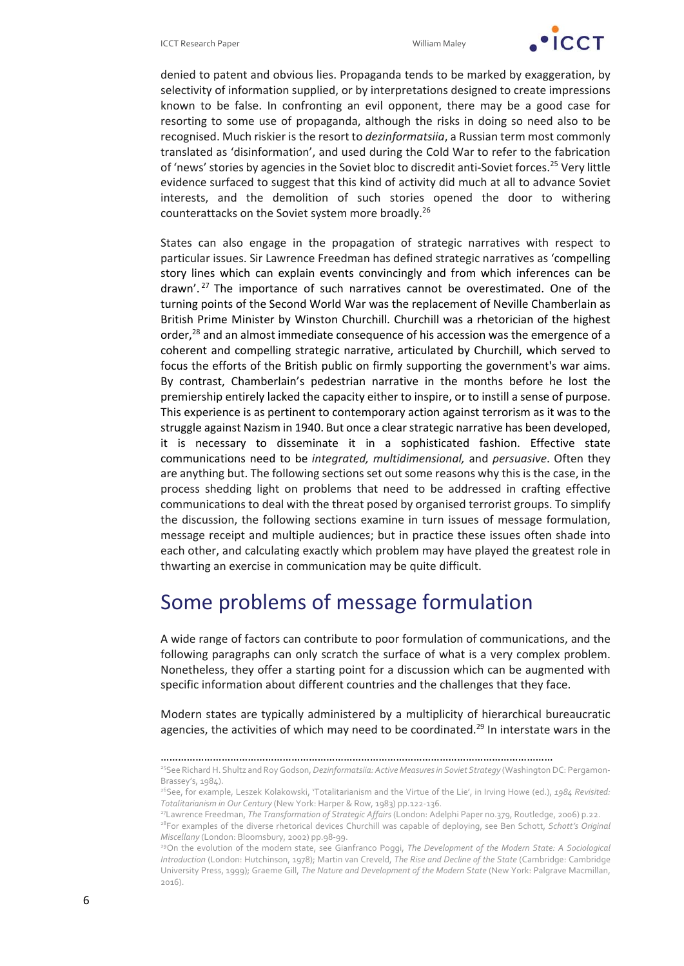

denied to patent and obvious lies. Propaganda tends to be marked by exaggeration, by selectivity of information supplied, or by interpretations designed to create impressions known to be false. In confronting an evil opponent, there may be a good case for resorting to some use of propaganda, although the risks in doing so need also to be recognised. Much riskier is the resort to *dezinformatsiia*, a Russian term most commonly translated as 'disinformation', and used during the Cold War to refer to the fabrication of 'news' stories by agencies in the Soviet bloc to discredit anti-Soviet forces.<sup>25</sup> Very little evidence surfaced to suggest that this kind of activity did much at all to advance Soviet interests, and the demolition of such stories opened the door to withering counterattacks on the Soviet system more broadly.26

States can also engage in the propagation of strategic narratives with respect to particular issues. Sir Lawrence Freedman has defined strategic narratives as 'compelling story lines which can explain events convincingly and from which inferences can be drawn'. <sup>27</sup> The importance of such narratives cannot be overestimated. One of the turning points of the Second World War was the replacement of Neville Chamberlain as British Prime Minister by Winston Churchill. Churchill was a rhetorician of the highest order, $^{28}$  and an almost immediate consequence of his accession was the emergence of a coherent and compelling strategic narrative, articulated by Churchill, which served to focus the efforts of the British public on firmly supporting the government's war aims. By contrast, Chamberlain's pedestrian narrative in the months before he lost the premiership entirely lacked the capacity either to inspire, or to instill a sense of purpose. This experience is as pertinent to contemporary action against terrorism as it was to the struggle against Nazism in 1940. But once a clearstrategic narrative has been developed, it is necessary to disseminate it in a sophisticated fashion. Effective state communications need to be *integrated, multidimensional,* and *persuasive*. Often they are anything but. The following sections set out some reasons why this is the case, in the process shedding light on problems that need to be addressed in crafting effective communications to deal with the threat posed by organised terrorist groups. To simplify the discussion, the following sections examine in turn issues of message formulation, message receipt and multiple audiences; but in practice these issues often shade into each other, and calculating exactly which problem may have played the greatest role in thwarting an exercise in communication may be quite difficult.

### Some problems of message formulation

A wide range of factors can contribute to poor formulation of communications, and the following paragraphs can only scratch the surface of what is a very complex problem. Nonetheless, they offer a starting point for a discussion which can be augmented with specific information about different countries and the challenges that they face.

Modern states are typically administered by a multiplicity of hierarchical bureaucratic agencies, the activities of which may need to be coordinated.<sup>29</sup> In interstate wars in the

<sup>………………………………………………………………………………………………………………………</sup>

<sup>25</sup>See RichardH. Shultz and RoyGodson,*Dezinformatsiia: Active Measuresin Soviet Strategy* (WashingtonDC: Pergamon‐ Brassey's, 1984).

<sup>26</sup>See, for example, Leszek Kolakowski, 'Totalitarianism and the Virtue of the Lie', in Irving Howe (ed.), *1984 Revisited: Totalitarianism in Our Century* (New York: Harper & Row, 1983) pp.122‐136.

<sup>27</sup>Lawrence Freedman, *The Transformation of Strategic Affairs* (London: Adelphi Paper no.379, Routledge, 2006) p.22.

<sup>28</sup>For examples of the diverse rhetorical devices Churchill was capable of deploying, see Ben Schott, *Schott's Original Miscellany* (London: Bloomsbury, 2002) pp.98‐99.

<sup>29</sup>On the evolution of the modern state, see Gianfranco Poggi, *The Development of the Modern State: A Sociological Introduction* (London: Hutchinson, 1978); Martin van Creveld, *The Rise and Decline of the State* (Cambridge: Cambridge University Press, 1999); Graeme Gill, *The Nature and Development of the Modern State* (New York: Palgrave Macmillan, 2016).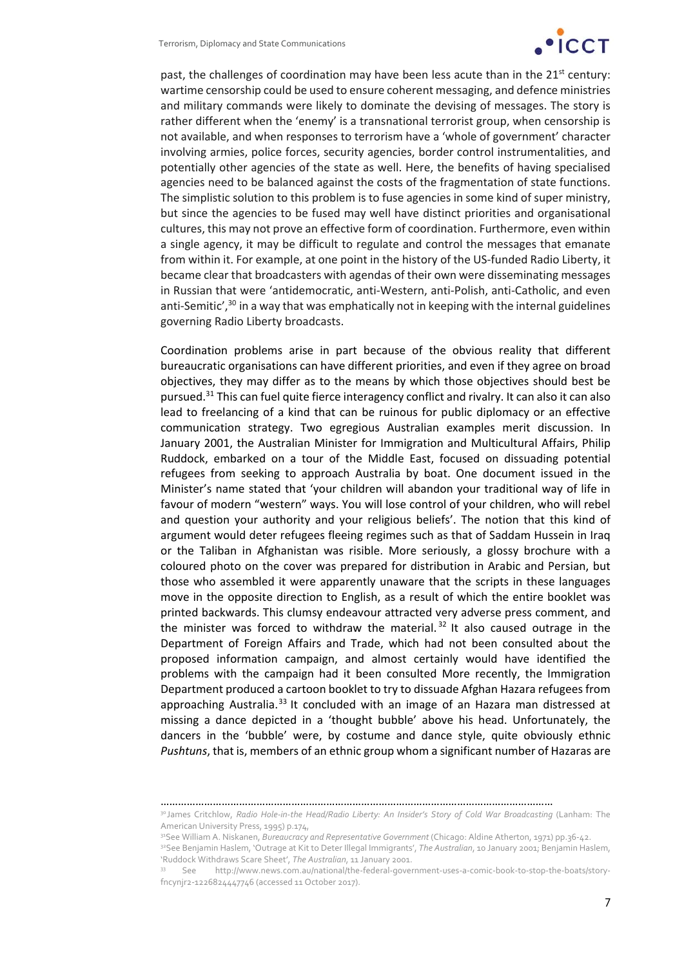

past, the challenges of coordination may have been less acute than in the  $21<sup>st</sup>$  century: wartime censorship could be used to ensure coherent messaging, and defence ministries and military commands were likely to dominate the devising of messages. The story is rather different when the 'enemy' is a transnational terrorist group, when censorship is not available, and when responses to terrorism have a 'whole of government' character involving armies, police forces, security agencies, border control instrumentalities, and potentially other agencies of the state as well. Here, the benefits of having specialised agencies need to be balanced against the costs of the fragmentation of state functions. The simplistic solution to this problem is to fuse agencies in some kind of super ministry, but since the agencies to be fused may well have distinct priorities and organisational cultures, this may not prove an effective form of coordination. Furthermore, even within a single agency, it may be difficult to regulate and control the messages that emanate from within it. For example, at one point in the history of the US-funded Radio Liberty, it became clear that broadcasters with agendas of their own were disseminating messages in Russian that were 'antidemocratic, anti‐Western, anti‐Polish, anti‐Catholic, and even anti-Semitic', $30$  in a way that was emphatically not in keeping with the internal guidelines governing Radio Liberty broadcasts.

Coordination problems arise in part because of the obvious reality that different bureaucratic organisations can have different priorities, and even if they agree on broad objectives, they may differ as to the means by which those objectives should best be pursued.<sup>31</sup> This can fuel quite fierce interagency conflict and rivalry. It can also it can also lead to freelancing of a kind that can be ruinous for public diplomacy or an effective communication strategy. Two egregious Australian examples merit discussion. In January 2001, the Australian Minister for Immigration and Multicultural Affairs, Philip Ruddock, embarked on a tour of the Middle East, focused on dissuading potential refugees from seeking to approach Australia by boat. One document issued in the Minister's name stated that 'your children will abandon your traditional way of life in favour of modern "western" ways. You will lose control of your children, who will rebel and question your authority and your religious beliefs'. The notion that this kind of argument would deter refugees fleeing regimes such as that of Saddam Hussein in Iraq or the Taliban in Afghanistan was risible. More seriously, a glossy brochure with a coloured photo on the cover was prepared for distribution in Arabic and Persian, but those who assembled it were apparently unaware that the scripts in these languages move in the opposite direction to English, as a result of which the entire booklet was printed backwards. This clumsy endeavour attracted very adverse press comment, and the minister was forced to withdraw the material.<sup>32</sup> It also caused outrage in the Department of Foreign Affairs and Trade, which had not been consulted about the proposed information campaign, and almost certainly would have identified the problems with the campaign had it been consulted More recently, the Immigration Department produced a cartoon booklet to try to dissuade Afghan Hazara refugees from approaching Australia.<sup>33</sup> It concluded with an image of an Hazara man distressed at missing a dance depicted in a 'thought bubble' above his head. Unfortunately, the dancers in the 'bubble' were, by costume and dance style, quite obviously ethnic *Pushtuns*, that is, members of an ethnic group whom a significant number of Hazaras are

<sup>………………………………………………………………………………………………………………………</sup>

<sup>30</sup> James Critchlow, *Radio Hole‐in‐the Head/Radio Liberty: An Insider's Story of Cold War Broadcasting* (Lanham: The American University Press, 1995) p.174,

<sup>31</sup>See William A. Niskanen, *Bureaucracy and Representative Government* (Chicago: Aldine Atherton, 1971) pp.36‐42.

<sup>32</sup>See Benjamin Haslem, 'Outrage at Kit to Deter Illegal Immigrants', *The Australian*, 10 January 2001; Benjamin Haslem, 'Ruddock Withdraws Scare Sheet', *The Australian*, 11 January 2001.

<sup>33</sup> See http://www.news.com.au/national/the-federal-government-uses-a-comic-book-to-stop-the-boats/storyfncynjr2‐1226824447746 (accessed 11 October 2017).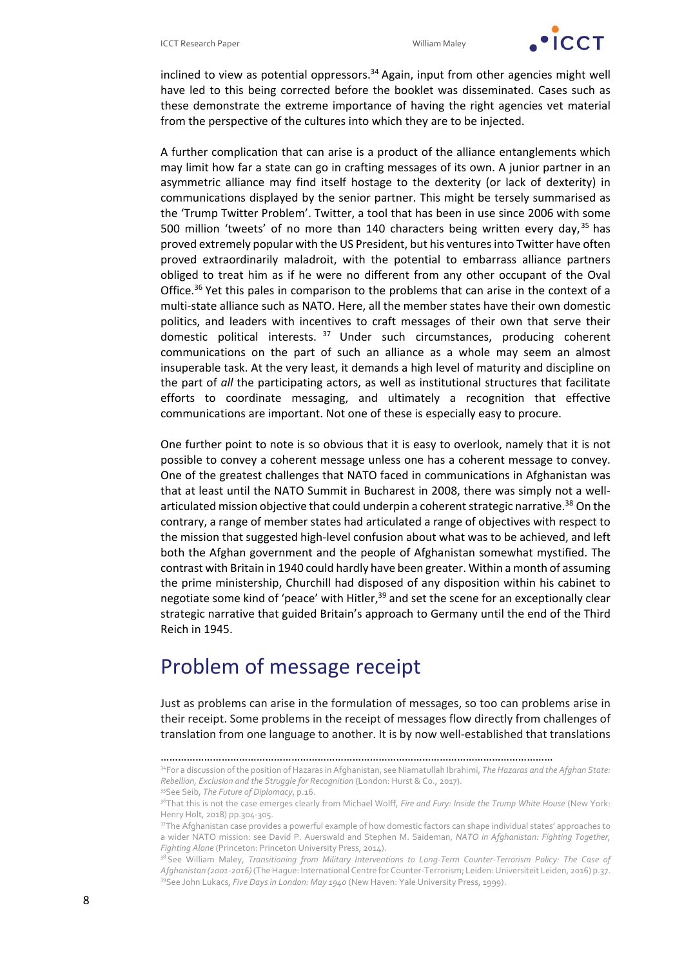

inclined to view as potential oppressors. $34$  Again, input from other agencies might well have led to this being corrected before the booklet was disseminated. Cases such as these demonstrate the extreme importance of having the right agencies vet material from the perspective of the cultures into which they are to be injected.

A further complication that can arise is a product of the alliance entanglements which may limit how far a state can go in crafting messages of its own. A junior partner in an asymmetric alliance may find itself hostage to the dexterity (or lack of dexterity) in communications displayed by the senior partner. This might be tersely summarised as the 'Trump Twitter Problem'. Twitter, a tool that has been in use since 2006 with some 500 million 'tweets' of no more than 140 characters being written every day,  $35$  has proved extremely popular with the US President, but his venturesinto Twitter have often proved extraordinarily maladroit, with the potential to embarrass alliance partners obliged to treat him as if he were no different from any other occupant of the Oval Office.<sup>36</sup> Yet this pales in comparison to the problems that can arise in the context of a multi‐state alliance such as NATO. Here, all the member states have their own domestic politics, and leaders with incentives to craft messages of their own that serve their domestic political interests. <sup>37</sup> Under such circumstances, producing coherent communications on the part of such an alliance as a whole may seem an almost insuperable task. At the very least, it demands a high level of maturity and discipline on the part of *all* the participating actors, as well as institutional structures that facilitate efforts to coordinate messaging, and ultimately a recognition that effective communications are important. Not one of these is especially easy to procure.

One further point to note is so obvious that it is easy to overlook, namely that it is not possible to convey a coherent message unless one has a coherent message to convey. One of the greatest challenges that NATO faced in communications in Afghanistan was that at least until the NATO Summit in Bucharest in 2008, there was simply not a well‐ articulated mission objective that could underpin a coherent strategic narrative.<sup>38</sup> On the contrary, a range of member states had articulated a range of objectives with respect to the mission that suggested high‐level confusion about what was to be achieved, and left both the Afghan government and the people of Afghanistan somewhat mystified. The contrast with Britain in 1940 could hardly have been greater. Within a month of assuming the prime ministership, Churchill had disposed of any disposition within his cabinet to negotiate some kind of 'peace' with Hitler,<sup>39</sup> and set the scene for an exceptionally clear strategic narrative that guided Britain's approach to Germany until the end of the Third Reich in 1945.

### Problem of message receipt

Just as problems can arise in the formulation of messages, so too can problems arise in their receipt. Some problems in the receipt of messages flow directly from challenges of translation from one language to another. It is by now well‐established that translations

<sup>………………………………………………………………………………………………………………………</sup>

<sup>34</sup>For a discussion of the position of Hazaras in Afghanistan, see Niamatullah Ibrahimi, *The Hazaras and the Afghan State: Rebellion, Exclusion and the Struggle for Recognition* (London: Hurst & Co., 2017).

<sup>35</sup>See Seib, *The Future of Diplomacy*, p.16.

<sup>36</sup>That this is not the case emerges clearly from Michael Wolff, *Fire and Fury: Inside the Trump White House* (New York: Henry Holt, 2018) pp.304‐305.

<sup>&</sup>lt;sup>37</sup>The Afghanistan case provides a powerful example of how domestic factors can shape individual states' approaches to a wider NATO mission: see David P. Auerswald and Stephen M. Saideman, *NATO in Afghanistan: Fighting Together, Fighting Alone* (Princeton: Princeton University Press, 2014).

<sup>38</sup> See William Maley, *Transitioning from Military Interventions to Long‐Term Counter‐Terrorism Policy: The Case of Afghanistan (2001‐2016)* (TheHague: International Centre for Counter‐Terrorism; Leiden:Universiteit Leiden, 2016) p.37. 39See John Lukacs, *Five Days in London: May 1940* (New Haven: Yale University Press, 1999).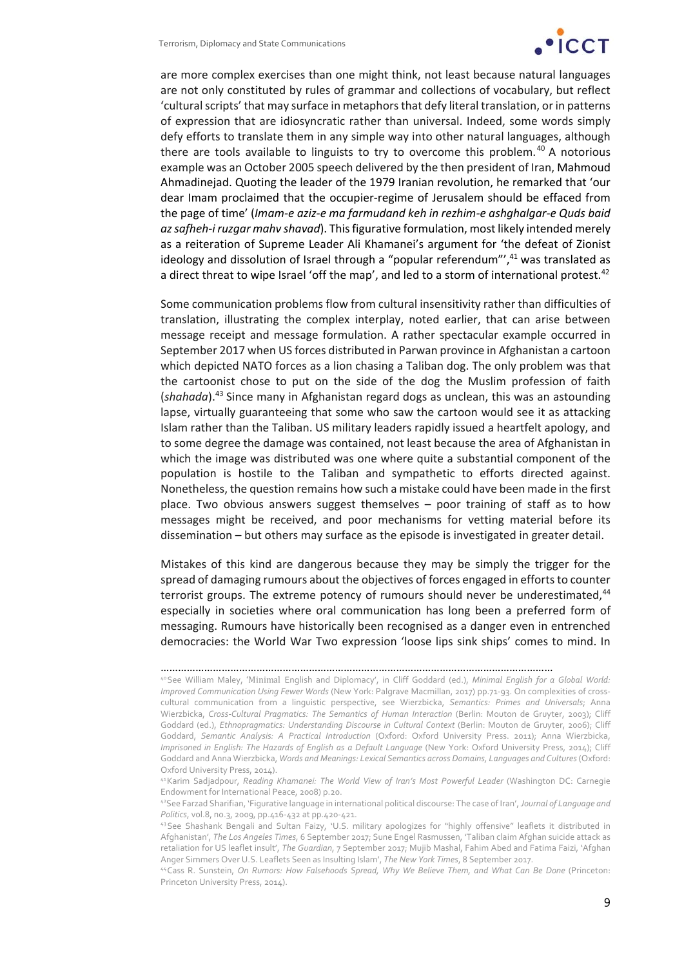

are more complex exercises than one might think, not least because natural languages are not only constituted by rules of grammar and collections of vocabulary, but reflect 'cultural scripts' that may surface in metaphors that defy literal translation, or in patterns of expression that are idiosyncratic rather than universal. Indeed, some words simply defy efforts to translate them in any simple way into other natural languages, although there are tools available to linguists to try to overcome this problem.<sup>40</sup> A notorious example was an October 2005 speech delivered by the then president of Iran, Mahmoud Ahmadinejad. Quoting the leader of the 1979 Iranian revolution, he remarked that 'our dear Imam proclaimed that the occupier‐regime of Jerusalem should be effaced from the page of time' (*Imam‐e aziz‐e ma farmudand keh in rezhim‐e ashghalgar‐e Quds baid azsafheh‐i ruzgar mahv shavad*). Thisfigurative formulation, most likely intended merely as a reiteration of Supreme Leader Ali Khamanei's argument for 'the defeat of Zionist ideology and dissolution of Israel through a "popular referendum", $41$  was translated as a direct threat to wipe Israel 'off the map', and led to a storm of international protest.<sup>42</sup>

Some communication problems flow from cultural insensitivity rather than difficulties of translation, illustrating the complex interplay, noted earlier, that can arise between message receipt and message formulation. A rather spectacular example occurred in September 2017 when US forces distributed in Parwan province in Afghanistan a cartoon which depicted NATO forces as a lion chasing a Taliban dog. The only problem was that the cartoonist chose to put on the side of the dog the Muslim profession of faith (*shahada*).43 Since many in Afghanistan regard dogs as unclean, this was an astounding lapse, virtually guaranteeing that some who saw the cartoon would see it as attacking Islam rather than the Taliban. US military leaders rapidly issued a heartfelt apology, and to some degree the damage was contained, not least because the area of Afghanistan in which the image was distributed was one where quite a substantial component of the population is hostile to the Taliban and sympathetic to efforts directed against. Nonetheless, the question remains how such a mistake could have been made in the first place. Two obvious answers suggest themselves – poor training of staff as to how messages might be received, and poor mechanisms for vetting material before its dissemination – but others may surface as the episode is investigated in greater detail.

Mistakes of this kind are dangerous because they may be simply the trigger for the spread of damaging rumours about the objectives of forces engaged in efforts to counter terrorist groups. The extreme potency of rumours should never be underestimated,<sup>44</sup> especially in societies where oral communication has long been a preferred form of messaging. Rumours have historically been recognised as a danger even in entrenched democracies: the World War Two expression 'loose lips sink ships' comes to mind. In

<sup>………………………………………………………………………………………………………………………</sup>

<sup>40</sup>See William Maley, 'Minimal English and Diplomacy', in Cliff Goddard (ed.), *Minimal English for a Global World: Improved Communication Using Fewer Words* (New York: Palgrave Macmillan, 2017) pp.71‐93. On complexities of cross‐ cultural communication from a linguistic perspective, see Wierzbicka, *Semantics: Primes and Universals*; Anna Wierzbicka, *Cross‐Cultural Pragmatics: The Semantics of Human Interaction* (Berlin: Mouton de Gruyter, 2003); Cliff Goddard (ed.), *Ethnopragmatics: Understanding Discourse in Cultural Context* (Berlin: Mouton de Gruyter, 2006); Cliff Goddard, *Semantic Analysis: A Practical Introduction* (Oxford: Oxford University Press. 2011); Anna Wierzbicka, *Imprisoned in English: The Hazards of English as a Default Language* (New York: Oxford University Press, 2014); Cliff Goddard and Anna Wierzbicka, *Words and Meanings: Lexical Semantics across Domains, Languages and Cultures*(Oxford: Oxford University Press, 2014).

<sup>41</sup>Karim Sadjadpour, *Reading Khamanei: The World View of Iran's Most Powerful Leader* (Washington DC: Carnegie Endowment for International Peace, 2008) p.20.

<sup>42</sup>See Farzad Sharifian, 'Figurative language in international political discourse: The case of Iran',*Journal of Language and Politics*, vol.8, no.3, 2009, pp.416‐432 at pp.420‐421.

<sup>43</sup>See Shashank Bengali and Sultan Faizy, 'U.S. military apologizes for "highly offensive" leaflets it distributed in Afghanistan', *The Los Angeles Times*, 6 September 2017; Sune Engel Rasmussen, 'Taliban claim Afghan suicide attack as retaliation for US leaflet insult', *The Guardian*, 7 September 2017; Mujib Mashal, Fahim Abed and Fatima Faizi, 'Afghan Anger Simmers Over U.S. Leaflets Seen as Insulting Islam', *The New York Times*, 8 September 2017.

<sup>44</sup>Cass R. Sunstein, *On Rumors: How Falsehoods Spread, Why We Believe Them, and What Can Be Done* (Princeton: Princeton University Press, 2014).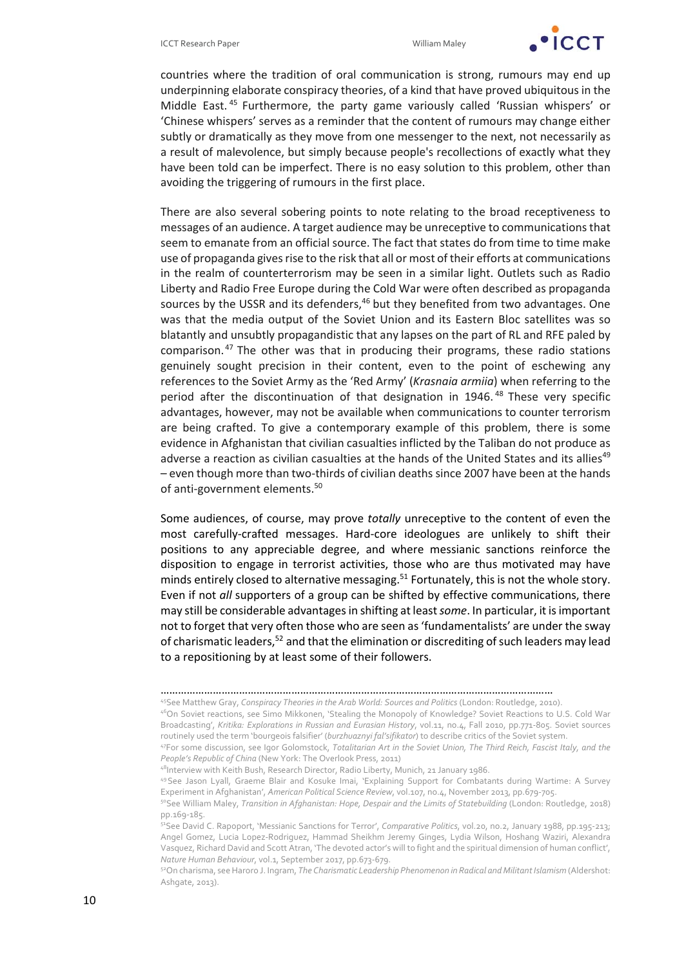

countries where the tradition of oral communication is strong, rumours may end up underpinning elaborate conspiracy theories, of a kind that have proved ubiquitous in the Middle East. <sup>45</sup> Furthermore, the party game variously called 'Russian whispers' or 'Chinese whispers' serves as a reminder that the content of rumours may change either subtly or dramatically as they move from one messenger to the next, not necessarily as a result of malevolence, but simply because people's recollections of exactly what they have been told can be imperfect. There is no easy solution to this problem, other than avoiding the triggering of rumours in the first place.

There are also several sobering points to note relating to the broad receptiveness to messages of an audience. A target audience may be unreceptive to communicationsthat seem to emanate from an official source. The fact that states do from time to time make use of propaganda gives rise to the risk that all or most of their efforts at communications in the realm of counterterrorism may be seen in a similar light. Outlets such as Radio Liberty and Radio Free Europe during the Cold War were often described as propaganda sources by the USSR and its defenders,<sup>46</sup> but they benefited from two advantages. One was that the media output of the Soviet Union and its Eastern Bloc satellites was so blatantly and unsubtly propagandistic that any lapses on the part of RL and RFE paled by comparison. $47$  The other was that in producing their programs, these radio stations genuinely sought precision in their content, even to the point of eschewing any references to the Soviet Army as the 'Red Army' (*Krasnaia armiia*) when referring to the period after the discontinuation of that designation in 1946.<sup>48</sup> These very specific advantages, however, may not be available when communications to counter terrorism are being crafted. To give a contemporary example of this problem, there is some evidence in Afghanistan that civilian casualties inflicted by the Taliban do not produce as adverse a reaction as civilian casualties at the hands of the United States and its allies<sup>49</sup> – even though more than two‐thirds of civilian deaths since 2007 have been at the hands of anti‐government elements.50

Some audiences, of course, may prove *totally* unreceptive to the content of even the most carefully‐crafted messages. Hard‐core ideologues are unlikely to shift their positions to any appreciable degree, and where messianic sanctions reinforce the disposition to engage in terrorist activities, those who are thus motivated may have minds entirely closed to alternative messaging.<sup>51</sup> Fortunately, this is not the whole story. Even if not *all* supporters of a group can be shifted by effective communications, there may still be considerable advantagesin shifting at least*some*. In particular, it isimportant not to forget that very often those who are seen as'fundamentalists' are under the sway of charismatic leaders,<sup>52</sup> and that the elimination or discrediting of such leaders may lead to a repositioning by at least some of their followers.

45See Matthew Gray, *Conspiracy Theories in the Arab World: Sources and Politics* (London: Routledge, 2010). 46On Soviet reactions, see Simo Mikkonen, 'Stealing the Monopoly of Knowledge? Soviet Reactions to U.S. Cold War Broadcasting', *Kritika: Explorations in Russian and Eurasian History*, vol.11, no.4, Fall 2010, pp.771‐805. Soviet sources routinely used the term 'bourgeois falsifier' (*burzhuaznyi fal'sifikator*) to describe critics of the Soviet system.

<sup>………………………………………………………………………………………………………………………</sup>

<sup>47</sup>For some discussion, see Igor Golomstock, *Totalitarian Art in the Soviet Union, The Third Reich, Fascist Italy, and the People's Republic of China* (New York: The Overlook Press, 2011)

<sup>48</sup>Interview with Keith Bush, Research Director, Radio Liberty, Munich, 21 January 1986.

<sup>49</sup>See Jason Lyall, Graeme Blair and Kosuke Imai, 'Explaining Support for Combatants during Wartime: A Survey Experiment in Afghanistan', *American Political Science Review*, vol.107, no.4, November 2013, pp.679‐705.

<sup>50</sup>See William Maley, *Transition in Afghanistan: Hope, Despair and the Limits of Statebuilding* (London: Routledge, 2018) pp.169‐185.

<sup>51</sup>See David C. Rapoport, 'Messianic Sanctions for Terror', *Comparative Politics*, vol.20, no.2, January 1988, pp.195‐213; Angel Gomez, Lucia Lopez‐Rodriguez, Hammad Sheikhm Jeremy Ginges, Lydia Wilson, Hoshang Waziri, Alexandra Vasquez, Richard David and Scott Atran, 'The devoted actor's will to fight and the spiritual dimension of human conflict', *Nature Human Behaviour*, vol.1, September 2017, pp.673‐679.

<sup>52</sup>On charisma, seeHaroro J. Ingram, *The Charismatic Leadership Phenomenon in Radical and MilitantIslamism* (Aldershot: Ashgate, 2013).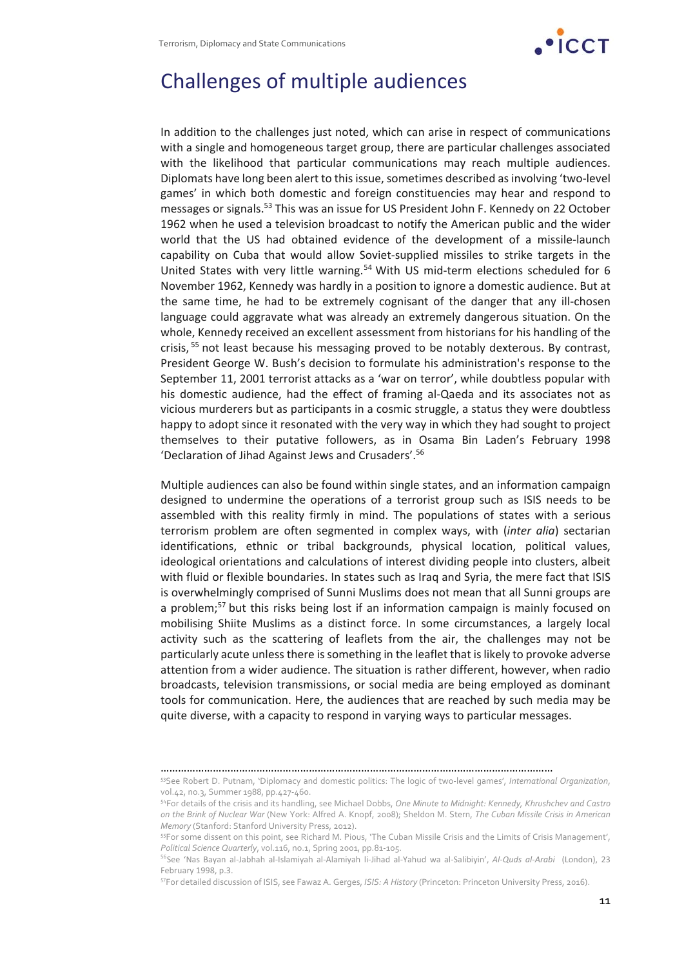

## Challenges of multiple audiences

In addition to the challenges just noted, which can arise in respect of communications with a single and homogeneous target group, there are particular challenges associated with the likelihood that particular communications may reach multiple audiences. Diplomats have long been alert to this issue, sometimes described as involving 'two-level games' in which both domestic and foreign constituencies may hear and respond to messages or signals.53 This was an issue for US President John F. Kennedy on 22 October 1962 when he used a television broadcast to notify the American public and the wider world that the US had obtained evidence of the development of a missile-launch capability on Cuba that would allow Soviet‐supplied missiles to strike targets in the United States with very little warning.<sup>54</sup> With US mid-term elections scheduled for 6 November 1962, Kennedy was hardly in a position to ignore a domestic audience. But at the same time, he had to be extremely cognisant of the danger that any ill‐chosen language could aggravate what was already an extremely dangerous situation. On the whole, Kennedy received an excellent assessment from historians for his handling of the crisis, <sup>55</sup> not least because his messaging proved to be notably dexterous. By contrast, President George W. Bush's decision to formulate his administration's response to the September 11, 2001 terrorist attacks as a 'war on terror', while doubtless popular with his domestic audience, had the effect of framing al-Qaeda and its associates not as vicious murderers but as participants in a cosmic struggle, a status they were doubtless happy to adopt since it resonated with the very way in which they had sought to project themselves to their putative followers, as in Osama Bin Laden's February 1998 'Declaration of Jihad Against Jews and Crusaders'.56

Multiple audiences can also be found within single states, and an information campaign designed to undermine the operations of a terrorist group such as ISIS needs to be assembled with this reality firmly in mind. The populations of states with a serious terrorism problem are often segmented in complex ways, with (*inter alia*) sectarian identifications, ethnic or tribal backgrounds, physical location, political values, ideological orientations and calculations of interest dividing people into clusters, albeit with fluid or flexible boundaries. In states such as Iraq and Syria, the mere fact that ISIS is overwhelmingly comprised of Sunni Muslims does not mean that all Sunni groups are a problem;<sup>57</sup> but this risks being lost if an information campaign is mainly focused on mobilising Shiite Muslims as a distinct force. In some circumstances, a largely local activity such as the scattering of leaflets from the air, the challenges may not be particularly acute unlessthere issomething in the leaflet that islikely to provoke adverse attention from a wider audience. The situation is rather different, however, when radio broadcasts, television transmissions, or social media are being employed as dominant tools for communication. Here, the audiences that are reached by such media may be quite diverse, with a capacity to respond in varying ways to particular messages.

<sup>………………………………………………………………………………………………………………………</sup>

<sup>53</sup>See Robert D. Putnam, 'Diplomacy and domestic politics: The logic of two‐level games', *International Organization*, vol.42, no.3, Summer 1988, pp.427‐460.

<sup>54</sup>For details of the crisis and its handling, see Michael Dobbs, *One Minute to Midnight: Kennedy, Khrushchev and Castro on the Brink of Nuclear War* (New York: Alfred A. Knopf, 2008); Sheldon M. Stern, *The Cuban Missile Crisis in American Memory* (Stanford: Stanford University Press, 2012).

<sup>55</sup>For some dissent on this point, see Richard M. Pious, 'The Cuban Missile Crisis and the Limits of Crisis Management', *Political Science Quarterly*, vol.116, no.1, Spring 2001, pp.81‐105.

<sup>56</sup>See 'Nas Bayan al‐Jabhah al‐Islamiyah al‐Alamiyah li‐Jihad al‐Yahud wa al‐Salibiyin', *Al‐Quds al‐Arabi* (London), 23 February 1998, p.3.

<sup>57</sup>For detailed discussion of ISIS, see Fawaz A. Gerges, *ISIS: A History* (Princeton: Princeton University Press, 2016).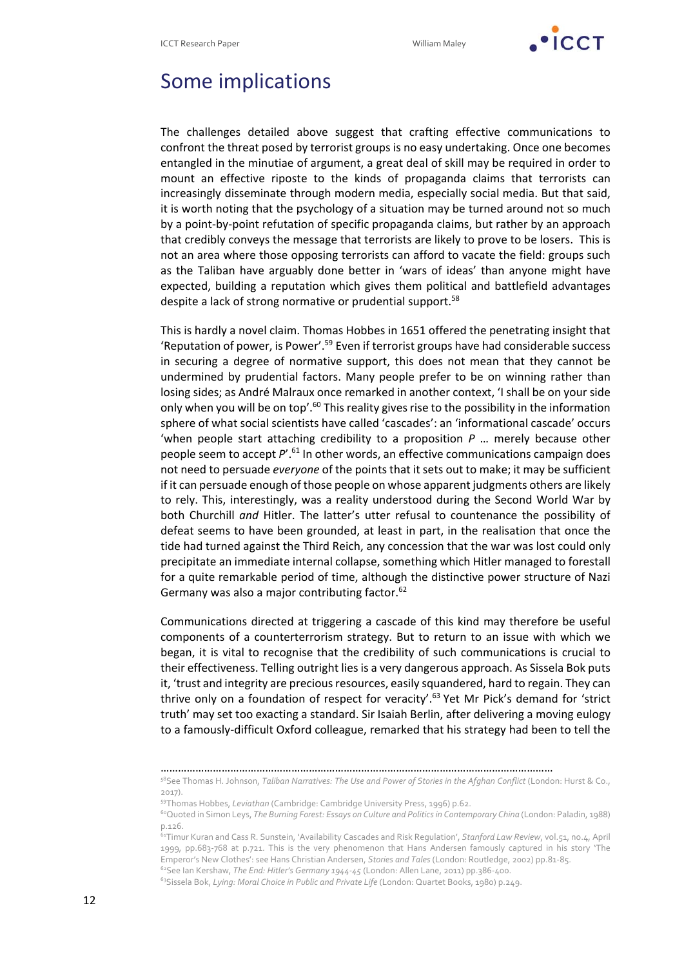

### Some implications

The challenges detailed above suggest that crafting effective communications to confront the threat posed by terrorist groups is no easy undertaking. Once one becomes entangled in the minutiae of argument, a great deal of skill may be required in order to mount an effective riposte to the kinds of propaganda claims that terrorists can increasingly disseminate through modern media, especially social media. But that said, it is worth noting that the psychology of a situation may be turned around not so much by a point‐by‐point refutation of specific propaganda claims, but rather by an approach that credibly conveys the message that terrorists are likely to prove to be losers. This is not an area where those opposing terrorists can afford to vacate the field: groups such as the Taliban have arguably done better in 'wars of ideas' than anyone might have expected, building a reputation which gives them political and battlefield advantages despite a lack of strong normative or prudential support.58

This is hardly a novel claim. Thomas Hobbes in 1651 offered the penetrating insight that 'Reputation of power, is Power'.59 Even if terrorist groups have had considerable success in securing a degree of normative support, this does not mean that they cannot be undermined by prudential factors. Many people prefer to be on winning rather than losing sides; as André Malraux once remarked in another context, 'I shall be on your side only when you will be on top'.<sup>60</sup> This reality gives rise to the possibility in the information sphere of what social scientists have called 'cascades': an 'informational cascade' occurs 'when people start attaching credibility to a proposition *P* … merely because other people seem to accept *P*'.61 In other words, an effective communications campaign does not need to persuade *everyone* of the points that it sets out to make; it may be sufficient if it can persuade enough of those people on whose apparent judgments others are likely to rely. This, interestingly, was a reality understood during the Second World War by both Churchill *and* Hitler. The latter's utter refusal to countenance the possibility of defeat seems to have been grounded, at least in part, in the realisation that once the tide had turned against the Third Reich, any concession that the war was lost could only precipitate an immediate internal collapse, something which Hitler managed to forestall for a quite remarkable period of time, although the distinctive power structure of Nazi Germany was also a major contributing factor.<sup>62</sup>

Communications directed at triggering a cascade of this kind may therefore be useful components of a counterterrorism strategy. But to return to an issue with which we began, it is vital to recognise that the credibility of such communications is crucial to their effectiveness. Telling outright lies is a very dangerous approach. As Sissela Bok puts it, 'trust and integrity are precious resources, easily squandered, hard to regain. They can thrive only on a foundation of respect for veracity'.63 Yet Mr Pick's demand for 'strict truth' may set too exacting a standard. Sir Isaiah Berlin, after delivering a moving eulogy to a famously‐difficult Oxford colleague, remarked that his strategy had been to tell the

………………………………………………………………………………………………………………………

<sup>58</sup>See Thomas H. Johnson, *Taliban Narratives: The Use and Power of Stories in the Afghan Conflict* (London: Hurst & Co., 2017).

<sup>59</sup>Thomas Hobbes, *Leviathan* (Cambridge: Cambridge University Press, 1996) p.62.

<sup>60</sup>Quoted in Simon Leys, *The Burning Forest: Essays on Culture and Politicsin Contemporary China* (London: Paladin, 1988) p.126.

<sup>61</sup>Timur Kuran and Cass R. Sunstein, 'Availability Cascades and Risk Regulation', *Stanford Law Review*, vol.51, no.4, April 1999, pp.683‐768 at p.721. This is the very phenomenon that Hans Andersen famously captured in his story 'The Emperor's New Clothes': see Hans Christian Andersen, *Stories and Tales* (London: Routledge, 2002) pp.81‐85.

<sup>62</sup>See Ian Kershaw, *The End: Hitler's Germany 1944‐45* (London: Allen Lane, 2011) pp.386‐400. 63Sissela Bok, *Lying: Moral Choice in Public and Private Life* (London: Quartet Books, 1980) p.249.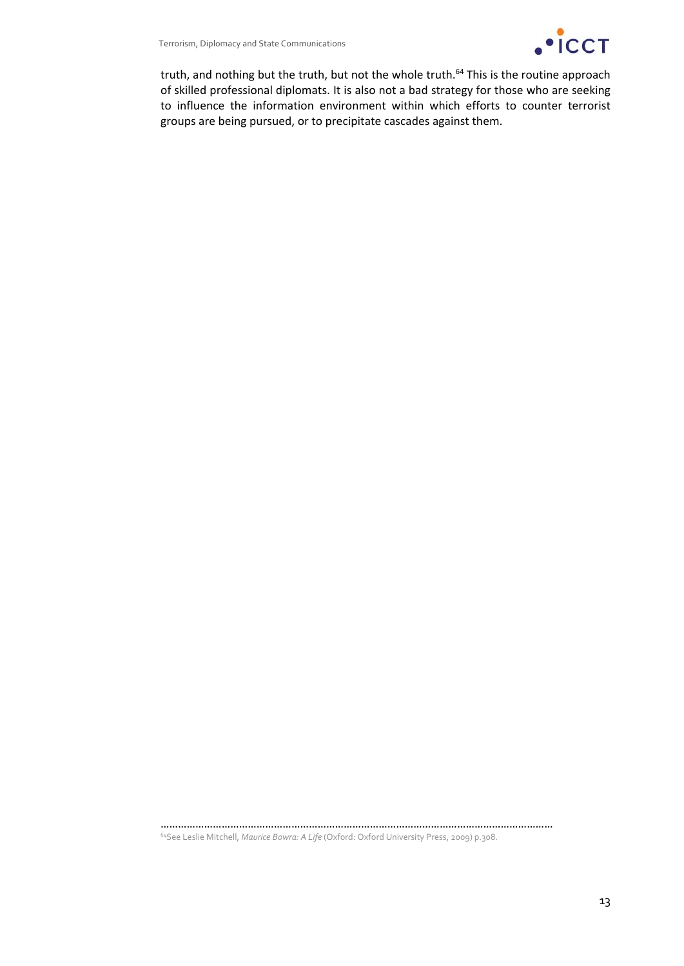

truth, and nothing but the truth, but not the whole truth.<sup>64</sup> This is the routine approach of skilled professional diplomats. It is also not a bad strategy for those who are seeking to influence the information environment within which efforts to counter terrorist groups are being pursued, or to precipitate cascades against them.

……………………………………………………………………………………………………………………… 64See Leslie Mitchell, *Maurice Bowra: A Life* (Oxford: Oxford University Press, 2009) p.308.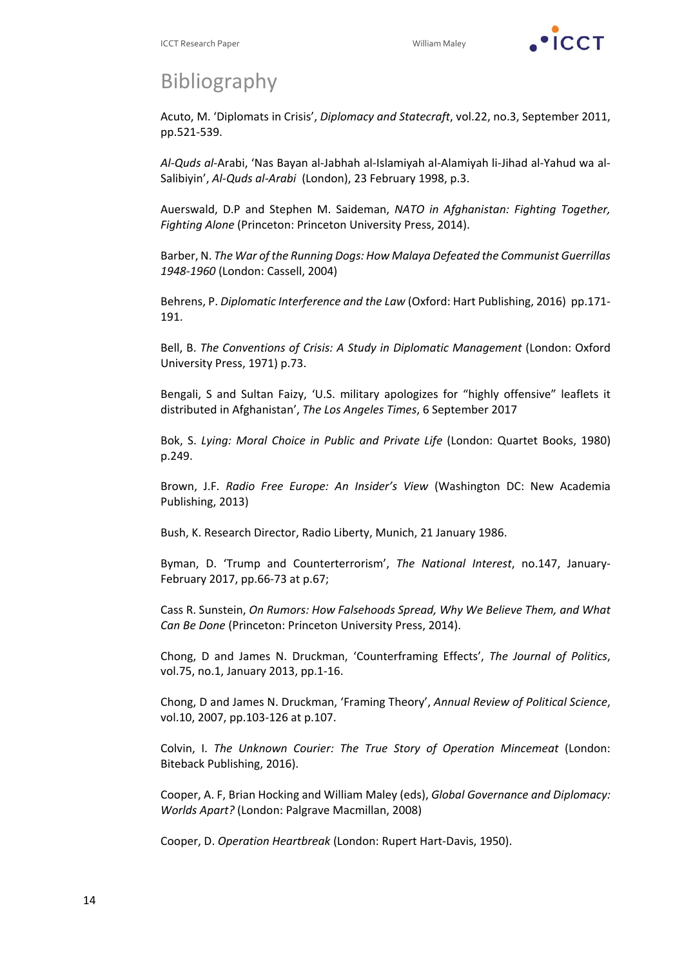

# **Bibliography**

Acuto, M. 'Diplomats in Crisis', *Diplomacy and Statecraft*, vol.22, no.3, September 2011, pp.521‐539.

*Al‐Quds al‐*Arabi, 'Nas Bayan al‐Jabhah al‐Islamiyah al‐Alamiyah li‐Jihad al‐Yahud wa al‐ Salibiyin', *Al‐Quds al‐Arabi* (London), 23 February 1998, p.3.

Auerswald, D.P and Stephen M. Saideman, *NATO in Afghanistan: Fighting Together, Fighting Alone* (Princeton: Princeton University Press, 2014).

Barber, N. *The War of the Running Dogs: How Malaya Defeated the Communist Guerrillas 1948‐1960* (London: Cassell, 2004)

Behrens, P. *Diplomatic Interference and the Law* (Oxford: Hart Publishing, 2016) pp.171‐ 191.

Bell, B. *The Conventions of Crisis: A Study in Diplomatic Management* (London: Oxford University Press, 1971) p.73.

Bengali, S and Sultan Faizy, 'U.S. military apologizes for "highly offensive" leaflets it distributed in Afghanistan', *The Los Angeles Times*, 6 September 2017

Bok, S. *Lying: Moral Choice in Public and Private Life* (London: Quartet Books, 1980) p.249.

Brown, J.F. *Radio Free Europe: An Insider's View* (Washington DC: New Academia Publishing, 2013)

Bush, K. Research Director, Radio Liberty, Munich, 21 January 1986.

Byman, D. 'Trump and Counterterrorism', *The National Interest*, no.147, January‐ February 2017, pp.66‐73 at p.67;

Cass R. Sunstein, *On Rumors: How Falsehoods Spread, Why We Believe Them, and What Can Be Done* (Princeton: Princeton University Press, 2014).

Chong, D and James N. Druckman, 'Counterframing Effects', *The Journal of Politics*, vol.75, no.1, January 2013, pp.1‐16.

Chong, D and James N. Druckman, 'Framing Theory', *Annual Review of Political Science*, vol.10, 2007, pp.103‐126 at p.107.

Colvin, I. *The Unknown Courier: The True Story of Operation Mincemeat* (London: Biteback Publishing, 2016).

Cooper, A. F, Brian Hocking and William Maley (eds), *Global Governance and Diplomacy: Worlds Apart?* (London: Palgrave Macmillan, 2008)

Cooper, D. *Operation Heartbreak* (London: Rupert Hart‐Davis, 1950).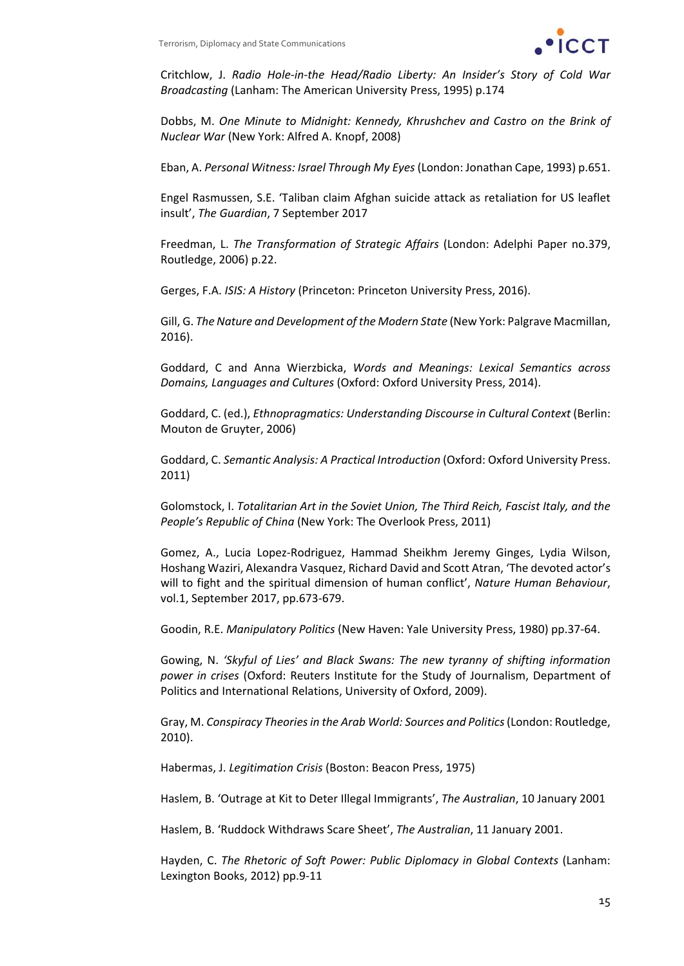

Critchlow, J. *Radio Hole‐in‐the Head/Radio Liberty: An Insider's Story of Cold War Broadcasting* (Lanham: The American University Press, 1995) p.174

Dobbs, M. *One Minute to Midnight: Kennedy, Khrushchev and Castro on the Brink of Nuclear War* (New York: Alfred A. Knopf, 2008)

Eban, A. *Personal Witness: Israel Through My Eyes* (London: Jonathan Cape, 1993) p.651.

Engel Rasmussen, S.E. 'Taliban claim Afghan suicide attack as retaliation for US leaflet insult', *The Guardian*, 7 September 2017

Freedman, L. *The Transformation of Strategic Affairs* (London: Adelphi Paper no.379, Routledge, 2006) p.22.

Gerges, F.A. *ISIS: A History* (Princeton: Princeton University Press, 2016).

Gill, G. *The Nature and Development of the Modern State* (New York: Palgrave Macmillan, 2016).

Goddard, C and Anna Wierzbicka, *Words and Meanings: Lexical Semantics across Domains, Languages and Cultures* (Oxford: Oxford University Press, 2014).

Goddard, C. (ed.), *Ethnopragmatics: Understanding Discourse in Cultural Context* (Berlin: Mouton de Gruyter, 2006)

Goddard, C. *Semantic Analysis: A Practical Introduction* (Oxford: Oxford University Press. 2011)

Golomstock, I. *Totalitarian Art in the Soviet Union, The Third Reich, Fascist Italy, and the People's Republic of China* (New York: The Overlook Press, 2011)

Gomez, A., Lucia Lopez‐Rodriguez, Hammad Sheikhm Jeremy Ginges, Lydia Wilson, Hoshang Waziri, Alexandra Vasquez, Richard David and Scott Atran, 'The devoted actor's will to fight and the spiritual dimension of human conflict', *Nature Human Behaviour*, vol.1, September 2017, pp.673‐679.

Goodin, R.E. *Manipulatory Politics* (New Haven: Yale University Press, 1980) pp.37‐64.

Gowing, N. *'Skyful of Lies' and Black Swans: The new tyranny of shifting information power in crises* (Oxford: Reuters Institute for the Study of Journalism, Department of Politics and International Relations, University of Oxford, 2009).

Gray, M. *Conspiracy Theoriesin the Arab World: Sources and Politics*(London: Routledge, 2010).

Habermas, J. *Legitimation Crisis* (Boston: Beacon Press, 1975)

Haslem, B. 'Outrage at Kit to Deter Illegal Immigrants', *The Australian*, 10 January 2001

Haslem, B. 'Ruddock Withdraws Scare Sheet', *The Australian*, 11 January 2001.

Hayden, C. *The Rhetoric of Soft Power: Public Diplomacy in Global Contexts* (Lanham: Lexington Books, 2012) pp.9‐11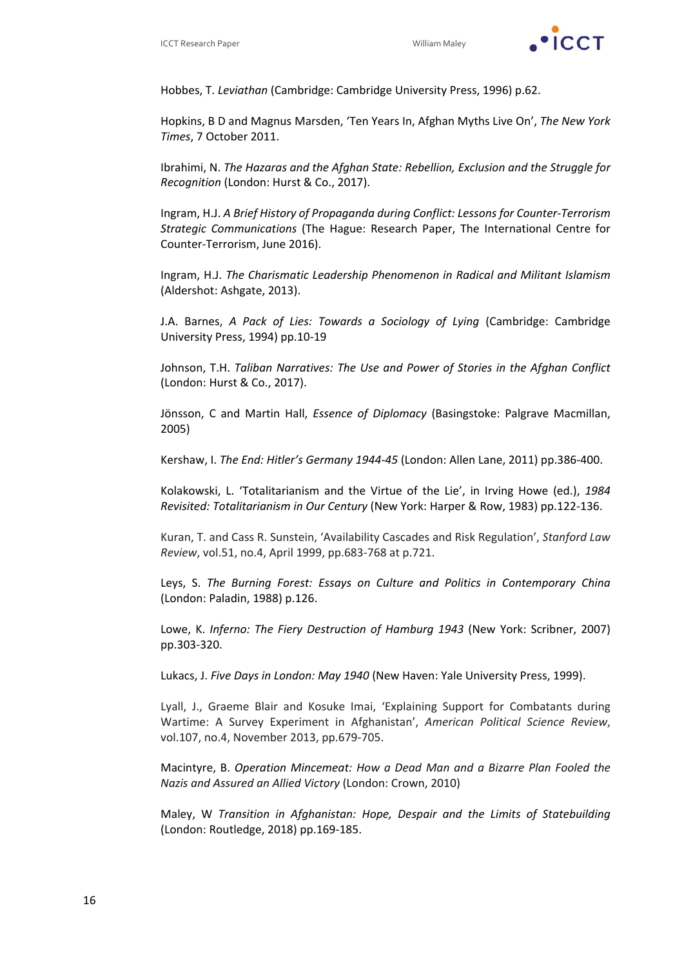

Hobbes, T. *Leviathan* (Cambridge: Cambridge University Press, 1996) p.62.

Hopkins, B D and Magnus Marsden, 'Ten Years In, Afghan Myths Live On', *The New York Times*, 7 October 2011.

Ibrahimi, N. *The Hazaras and the Afghan State: Rebellion, Exclusion and the Struggle for Recognition* (London: Hurst & Co., 2017).

Ingram, H.J. *A Brief History of Propaganda during Conflict: Lessons for Counter‐Terrorism Strategic Communications* (The Hague: Research Paper, The International Centre for Counter‐Terrorism, June 2016).

Ingram, H.J. *The Charismatic Leadership Phenomenon in Radical and Militant Islamism* (Aldershot: Ashgate, 2013).

J.A. Barnes, *A Pack of Lies: Towards a Sociology of Lying* (Cambridge: Cambridge University Press, 1994) pp.10‐19

Johnson, T.H. *Taliban Narratives: The Use and Power of Stories in the Afghan Conflict* (London: Hurst & Co., 2017).

Jönsson, C and Martin Hall, *Essence of Diplomacy* (Basingstoke: Palgrave Macmillan, 2005)

Kershaw, I. *The End: Hitler's Germany 1944‐45* (London: Allen Lane, 2011) pp.386‐400.

Kolakowski, L. 'Totalitarianism and the Virtue of the Lie', in Irving Howe (ed.), *1984 Revisited: Totalitarianism in Our Century* (New York: Harper & Row, 1983) pp.122‐136.

Kuran, T. and Cass R. Sunstein, 'Availability Cascades and Risk Regulation', *Stanford Law Review*, vol.51, no.4, April 1999, pp.683‐768 at p.721.

Leys, S. *The Burning Forest: Essays on Culture and Politics in Contemporary China* (London: Paladin, 1988) p.126.

Lowe, K. *Inferno: The Fiery Destruction of Hamburg 1943* (New York: Scribner, 2007) pp.303‐320.

Lukacs, J. *Five Days in London: May 1940* (New Haven: Yale University Press, 1999).

Lyall, J., Graeme Blair and Kosuke Imai, 'Explaining Support for Combatants during Wartime: A Survey Experiment in Afghanistan', *American Political Science Review*, vol.107, no.4, November 2013, pp.679‐705.

Macintyre, B. *Operation Mincemeat: How a Dead Man and a Bizarre Plan Fooled the Nazis and Assured an Allied Victory* (London: Crown, 2010)

Maley, W *Transition in Afghanistan: Hope, Despair and the Limits of Statebuilding* (London: Routledge, 2018) pp.169‐185.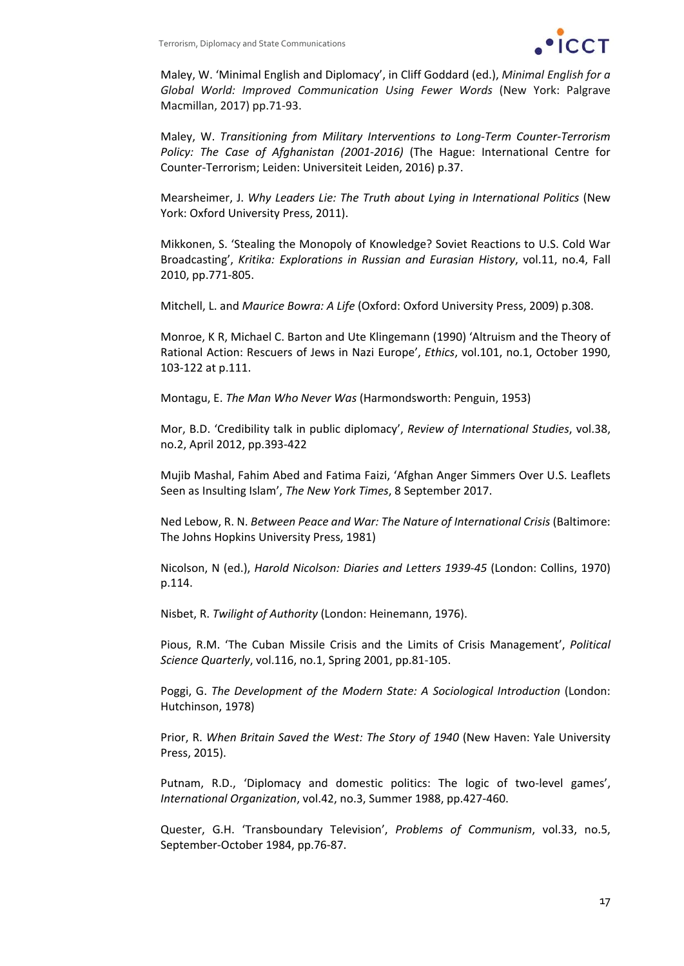

Maley, W. 'Minimal English and Diplomacy', in Cliff Goddard (ed.), *Minimal English for a Global World: Improved Communication Using Fewer Words* (New York: Palgrave Macmillan, 2017) pp.71‐93.

Maley, W. *Transitioning from Military Interventions to Long‐Term Counter‐Terrorism Policy: The Case of Afghanistan (2001‐2016)* (The Hague: International Centre for Counter‐Terrorism; Leiden: Universiteit Leiden, 2016) p.37.

Mearsheimer, J. *Why Leaders Lie: The Truth about Lying in International Politics* (New York: Oxford University Press, 2011).

Mikkonen, S. 'Stealing the Monopoly of Knowledge? Soviet Reactions to U.S. Cold War Broadcasting', *Kritika: Explorations in Russian and Eurasian History*, vol.11, no.4, Fall 2010, pp.771‐805.

Mitchell, L. and *Maurice Bowra: A Life* (Oxford: Oxford University Press, 2009) p.308.

Monroe, K R, Michael C. Barton and Ute Klingemann (1990) 'Altruism and the Theory of Rational Action: Rescuers of Jews in Nazi Europe', *Ethics*, vol.101, no.1, October 1990, 103‐122 at p.111.

Montagu, E. *The Man Who Never Was* (Harmondsworth: Penguin, 1953)

Mor, B.D. 'Credibility talk in public diplomacy', *Review of International Studies*, vol.38, no.2, April 2012, pp.393‐422

Mujib Mashal, Fahim Abed and Fatima Faizi, 'Afghan Anger Simmers Over U.S. Leaflets Seen as Insulting Islam', *The New York Times*, 8 September 2017.

Ned Lebow, R. N. *Between Peace and War: The Nature of International Crisis* (Baltimore: The Johns Hopkins University Press, 1981)

Nicolson, N (ed.), *Harold Nicolson: Diaries and Letters 1939‐45* (London: Collins, 1970) p.114.

Nisbet, R. *Twilight of Authority* (London: Heinemann, 1976).

Pious, R.M. 'The Cuban Missile Crisis and the Limits of Crisis Management', *Political Science Quarterly*, vol.116, no.1, Spring 2001, pp.81‐105.

Poggi, G. *The Development of the Modern State: A Sociological Introduction* (London: Hutchinson, 1978)

Prior, R. *When Britain Saved the West: The Story of 1940* (New Haven: Yale University Press, 2015).

Putnam, R.D., 'Diplomacy and domestic politics: The logic of two‐level games', *International Organization*, vol.42, no.3, Summer 1988, pp.427‐460.

Quester, G.H. 'Transboundary Television', *Problems of Communism*, vol.33, no.5, September‐October 1984, pp.76‐87.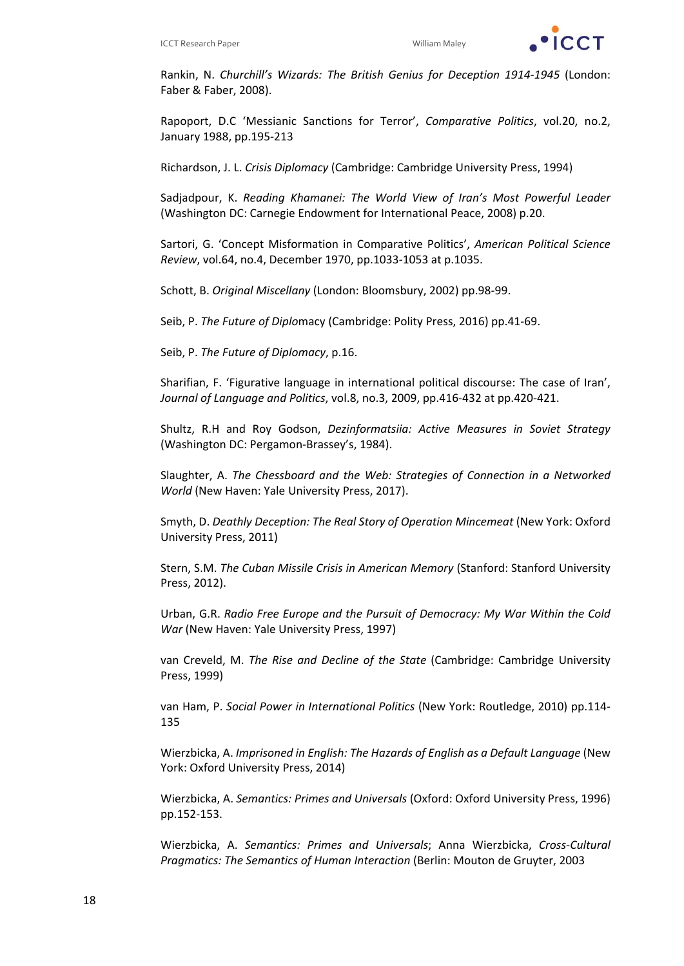

Rankin, N. *Churchill's Wizards: The British Genius for Deception 1914‐1945* (London: Faber & Faber, 2008).

Rapoport, D.C 'Messianic Sanctions for Terror', *Comparative Politics*, vol.20, no.2, January 1988, pp.195‐213

Richardson, J. L. *Crisis Diplomacy* (Cambridge: Cambridge University Press, 1994)

Sadjadpour, K. *Reading Khamanei: The World View of Iran's Most Powerful Leader* (Washington DC: Carnegie Endowment for International Peace, 2008) p.20.

Sartori, G. 'Concept Misformation in Comparative Politics', *American Political Science Review*, vol.64, no.4, December 1970, pp.1033‐1053 at p.1035.

Schott, B. *Original Miscellany* (London: Bloomsbury, 2002) pp.98‐99.

Seib, P. *The Future of Diplo*macy (Cambridge: Polity Press, 2016) pp.41‐69.

Seib, P. *The Future of Diplomacy*, p.16.

Sharifian, F. 'Figurative language in international political discourse: The case of Iran', *Journal of Language and Politics*, vol.8, no.3, 2009, pp.416‐432 at pp.420‐421.

Shultz, R.H and Roy Godson, *Dezinformatsiia: Active Measures in Soviet Strategy* (Washington DC: Pergamon‐Brassey's, 1984).

Slaughter, A. *The Chessboard and the Web: Strategies of Connection in a Networked World* (New Haven: Yale University Press, 2017).

Smyth, D. *Deathly Deception: The Real Story of Operation Mincemeat* (New York: Oxford University Press, 2011)

Stern, S.M. *The Cuban Missile Crisis in American Memory* (Stanford: Stanford University Press, 2012).

Urban, G.R. *Radio Free Europe and the Pursuit of Democracy: My War Within the Cold War* (New Haven: Yale University Press, 1997)

van Creveld, M. *The Rise and Decline of the State* (Cambridge: Cambridge University Press, 1999)

van Ham, P. *Social Power in International Politics* (New York: Routledge, 2010) pp.114‐ 135

Wierzbicka, A. *Imprisoned in English: The Hazards of English as a Default Language* (New York: Oxford University Press, 2014)

Wierzbicka, A. *Semantics: Primes and Universals* (Oxford: Oxford University Press, 1996) pp.152‐153.

Wierzbicka, A. *Semantics: Primes and Universals*; Anna Wierzbicka, *Cross‐Cultural Pragmatics: The Semantics of Human Interaction* (Berlin: Mouton de Gruyter, 2003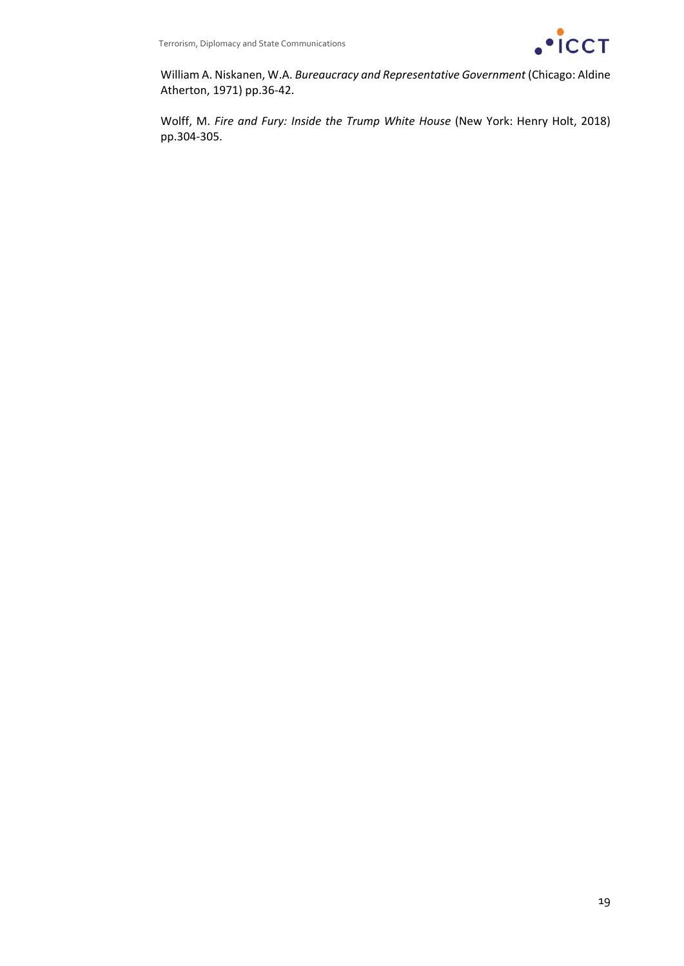

William A. Niskanen, W.A. *Bureaucracy and Representative Government* (Chicago: Aldine Atherton, 1971) pp.36‐42.

Wolff, M. *Fire and Fury: Inside the Trump White House* (New York: Henry Holt, 2018) pp.304‐305.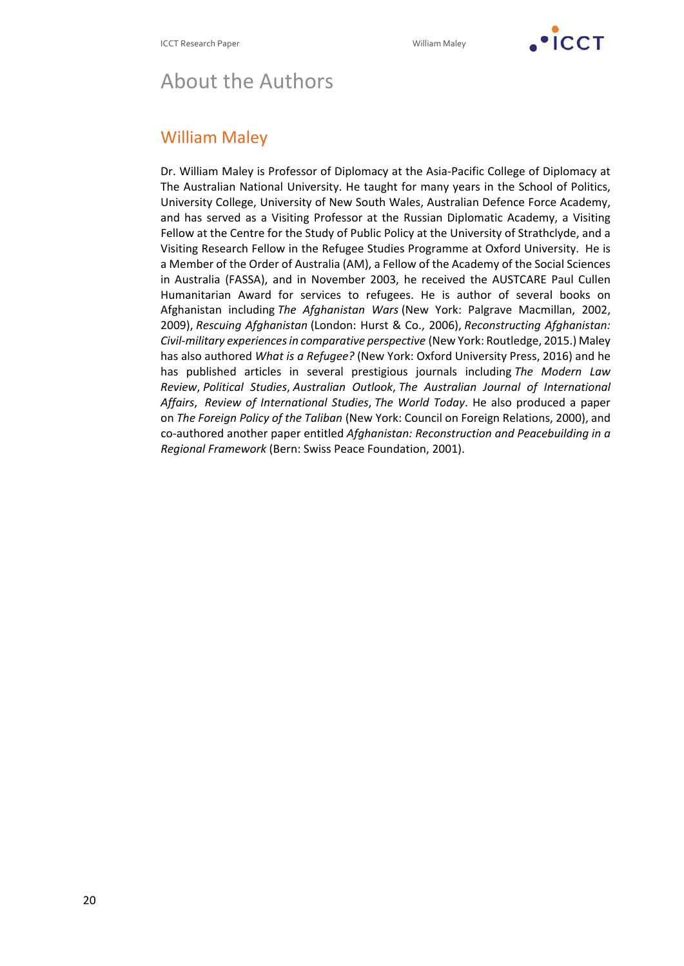

# About the Authors

#### William Maley

Dr. William Maley is Professor of Diplomacy at the Asia‐Pacific College of Diplomacy at The Australian National University. He taught for many years in the School of Politics, University College, University of New South Wales, Australian Defence Force Academy, and has served as a Visiting Professor at the Russian Diplomatic Academy, a Visiting Fellow at the Centre for the Study of Public Policy at the University of Strathclyde, and a Visiting Research Fellow in the Refugee Studies Programme at Oxford University. He is a Member of the Order of Australia (AM), a Fellow of the Academy of the Social Sciences in Australia (FASSA), and in November 2003, he received the AUSTCARE Paul Cullen Humanitarian Award for services to refugees. He is author of several books on Afghanistan including *The Afghanistan Wars* (New York: Palgrave Macmillan, 2002, 2009), *Rescuing Afghanistan* (London: Hurst & Co., 2006), *Reconstructing Afghanistan: Civil‐military experiencesin comparative perspective* (New York: Routledge, 2015.) Maley has also authored *What is a Refugee?* (New York: Oxford University Press, 2016) and he has published articles in several prestigious journals including *The Modern Law Review*, *Political Studies*, *Australian Outlook*, *The Australian Journal of International Affairs*, *Review of International Studies*, *The World Today*. He also produced a paper on *The Foreign Policy of the Taliban* (New York: Council on Foreign Relations, 2000), and co‐authored another paper entitled *Afghanistan: Reconstruction and Peacebuilding in a Regional Framework* (Bern: Swiss Peace Foundation, 2001).